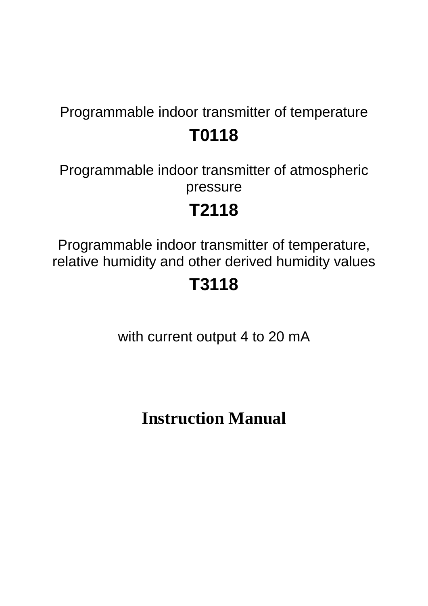# Programmable indoor transmitter of temperature **T0118**

Programmable indoor transmitter of atmospheric pressure

# **T2118**

Programmable indoor transmitter of temperature, relative humidity and other derived humidity values

# **T3118**

with current output 4 to 20 mA

**Instruction Manual**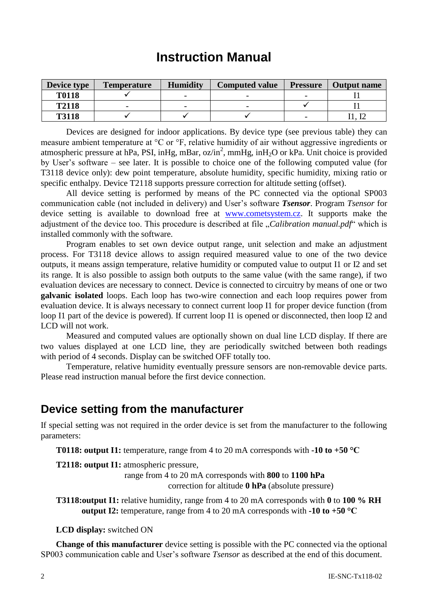# **Instruction Manual**

| Device type  | <b>Temperature</b> | <b>Humidity</b>          | <b>Computed value</b> | <b>Pressure</b> | Output name |
|--------------|--------------------|--------------------------|-----------------------|-----------------|-------------|
| <b>T0118</b> |                    |                          |                       |                 |             |
| <b>T2118</b> |                    | $\overline{\phantom{0}}$ |                       |                 |             |
| <b>T3118</b> |                    |                          |                       |                 |             |

Devices are designed for indoor applications. By device type (see previous table) they can measure ambient temperature at °C or °F, relative humidity of air without aggressive ingredients or atmospheric pressure at hPa, PSI, inHg, mBar, oz/in<sup>2</sup>, mmHg, inH<sub>2</sub>O or kPa. Unit choice is provided by User's software – see later. It is possible to choice one of the following computed value (for T3118 device only): dew point temperature, absolute humidity, specific humidity, mixing ratio or specific enthalpy. Device T2118 supports pressure correction for altitude setting (offset).

All device setting is performed by means of the PC connected via the optional SP003 communication cable (not included in delivery) and User's software *Tsensor*. Program *Tsensor* for device setting is available to download free at [www.cometsystem.cz.](http://www.cometsystem.cz/) It supports make the adjustment of the device too. This procedure is described at file *"Calibration manual.pdf*" which is installed commonly with the software.

Program enables to set own device output range, unit selection and make an adjustment process. For T3118 device allows to assign required measured value to one of the two device outputs, it means assign temperature, relative humidity or computed value to output I1 or I2 and set its range. It is also possible to assign both outputs to the same value (with the same range), if two evaluation devices are necessary to connect. Device is connected to circuitry by means of one or two **galvanic isolated** loops. Each loop has two-wire connection and each loop requires power from evaluation device. It is always necessary to connect current loop I1 for proper device function (from loop I1 part of the device is powered). If current loop I1 is opened or disconnected, then loop I2 and LCD will not work.

Measured and computed values are optionally shown on dual line LCD display. If there are two values displayed at one LCD line, they are periodically switched between both readings with period of 4 seconds. Display can be switched OFF totally too.

Temperature, relative humidity eventually pressure sensors are non-removable device parts. Please read instruction manual before the first device connection.

### **Device setting from the manufacturer**

If special setting was not required in the order device is set from the manufacturer to the following parameters:

**T0118: output I1:** temperature, range from 4 to 20 mA corresponds with **-10 to +50 °C**

**T2118: output I1:** atmospheric pressure,

range from 4 to 20 mA corresponds with **800** to **1100 hPa** correction for altitude **0 hPa** (absolute pressure)

**T3118:output I1:** relative humidity, range from 4 to 20 mA corresponds with **0** to **100 % RH output I2:** temperature, range from 4 to 20 mA corresponds with **-10 to +50 °C**

**LCD display:** switched ON

**Change of this manufacturer** device setting is possible with the PC connected via the optional SP003 communication cable and User's software *Tsensor* as described at the end of this document.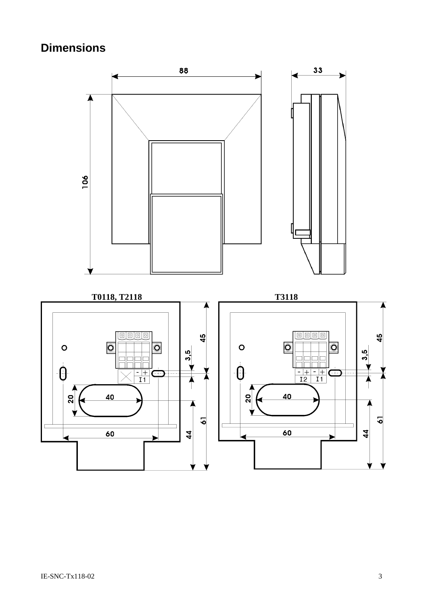# **Dimensions**

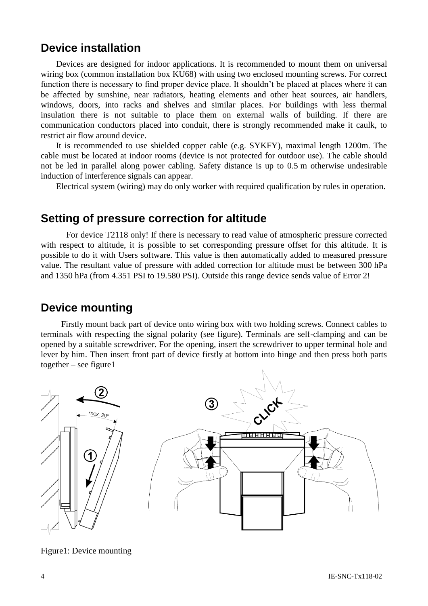## **Device installation**

Devices are designed for indoor applications. It is recommended to mount them on universal wiring box (common installation box KU68) with using two enclosed mounting screws. For correct function there is necessary to find proper device place. It shouldn't be placed at places where it can be affected by sunshine, near radiators, heating elements and other heat sources, air handlers, windows, doors, into racks and shelves and similar places. For buildings with less thermal insulation there is not suitable to place them on external walls of building. If there are communication conductors placed into conduit, there is strongly recommended make it caulk, to restrict air flow around device.

It is recommended to use shielded copper cable (e.g. SYKFY), maximal length 1200m. The cable must be located at indoor rooms (device is not protected for outdoor use). The cable should not be led in parallel along power cabling. Safety distance is up to 0.5 m otherwise undesirable induction of interference signals can appear.

Electrical system (wiring) may do only worker with required qualification by rules in operation.

## **Setting of pressure correction for altitude**

For device T2118 only! If there is necessary to read value of atmospheric pressure corrected with respect to altitude, it is possible to set corresponding pressure offset for this altitude. It is possible to do it with Users software. This value is then automatically added to measured pressure value. The resultant value of pressure with added correction for altitude must be between 300 hPa and 1350 hPa (from 4.351 PSI to 19.580 PSI). Outside this range device sends value of Error 2!

### **Device mounting**

Firstly mount back part of device onto wiring box with two holding screws. Connect cables to terminals with respecting the signal polarity (see figure). Terminals are self-clamping and can be opened by a suitable screwdriver. For the opening, insert the screwdriver to upper terminal hole and lever by him. Then insert front part of device firstly at bottom into hinge and then press both parts together – see figure1



Figure1: Device mounting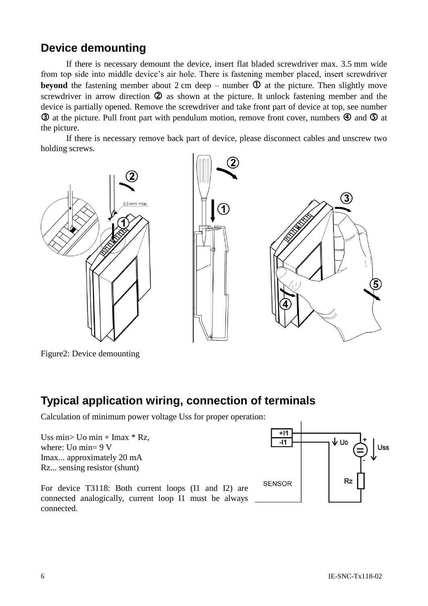# **Device demounting**

If there is necessary demount the device, insert flat bladed screwdriver max. 3.5 mm wide from top side into middle device's air hole. There is fastening member placed, insert screwdriver **beyond** the fastening member about 2 cm deep – number  $\Phi$  at the picture. Then slightly move screwdriver in arrow direction  $\circled{2}$  as shown at the picture. It unlock fastening member and the device is partially opened. Remove the screwdriver and take front part of device at top, see number  $\odot$  at the picture. Pull front part with pendulum motion, remove front cover, numbers  $\odot$  and  $\odot$  at the picture.

If there is necessary remove back part of device, please disconnect cables and unscrew two holding screws.



Figure2: Device demounting

## **Typical application wiring, connection of terminals**

Calculation of minimum power voltage Uss for proper operation:

Uss min> Uo min + Imax  $*$  Rz, where: Uo min= 9 V Imax... approximately 20 mA Rz... sensing resistor (shunt)

For device T3118: Both current loops (I1 and I2) are connected analogically, current loop I1 must be always connected.

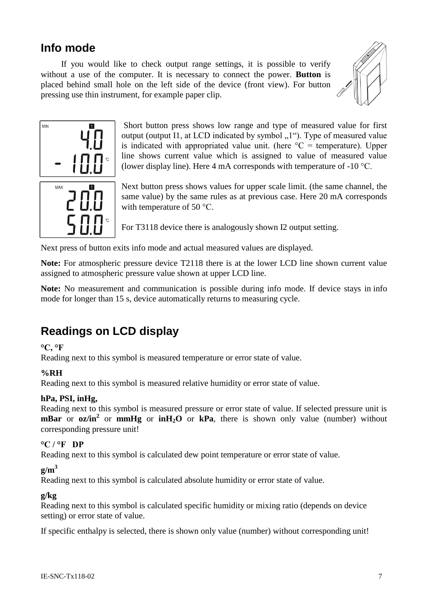# **Info mode**

If you would like to check output range settings, it is possible to verify without a use of the computer. It is necessary to connect the power. **Button** is placed behind small hole on the left side of the device (front view). For button pressing use thin instrument, for example paper clip.





Short button press shows low range and type of measured value for first output (output I1, at LCD indicated by symbol  $\mu$ <sup>1</sup>). Type of measured value is indicated with appropriated value unit. (here  ${}^{\circ}C$  = temperature). Upper line shows current value which is assigned to value of measured value (lower display line). Here 4 mA corresponds with temperature of -10 °C.

Next button press shows values for upper scale limit. (the same channel, the same value) by the same rules as at previous case. Here 20 mA corresponds with temperature of 50 °C.

For T3118 device there is analogously shown I2 output setting.

Next press of button exits info mode and actual measured values are displayed.

**Note:** For atmospheric pressure device T2118 there is at the lower LCD line shown current value assigned to atmospheric pressure value shown at upper LCD line.

**Note:** No measurement and communication is possible during info mode. If device stays in info mode for longer than 15 s, device automatically returns to measuring cycle.

# **Readings on LCD display**

#### **°C, °F**

Reading next to this symbol is measured temperature or error state of value.

#### **%RH**

Reading next to this symbol is measured relative humidity or error state of value.

#### **hPa, PSI, inHg,**

Reading next to this symbol is measured pressure or error state of value. If selected pressure unit is **mBar** or **oz/in<sup>2</sup>** or **mmHg** or **inH2O** or **kPa**, there is shown only value (number) without corresponding pressure unit!

#### **°C / °F DP**

Reading next to this symbol is calculated dew point temperature or error state of value.

#### $g/m<sup>3</sup>$

Reading next to this symbol is calculated absolute humidity or error state of value.

#### **g/kg**

Reading next to this symbol is calculated specific humidity or mixing ratio (depends on device setting) or error state of value.

If specific enthalpy is selected, there is shown only value (number) without corresponding unit!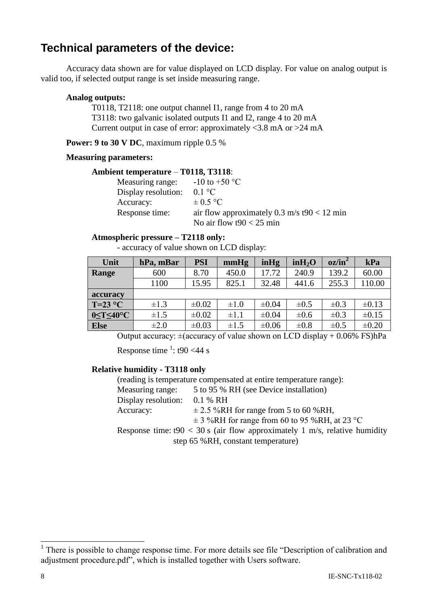# **Technical parameters of the device:**

Accuracy data shown are for value displayed on LCD display. For value on analog output is valid too, if selected output range is set inside measuring range.

#### **Analog outputs:**

T0118, T2118: one output channel I1, range from 4 to 20 mA T3118: two galvanic isolated outputs I1 and I2, range 4 to 20 mA Current output in case of error: approximately  $\langle 3.8 \text{ mA} \rangle$  or  $>24 \text{ mA}$ 

**Power: 9 to 30 V DC**, maximum ripple 0.5 %

#### **Measuring parameters:**

#### **Ambient temperature** – **T0118, T3118**:

| Measuring range:    | $-10$ to $+50$ °C                           |
|---------------------|---------------------------------------------|
| Display resolution: | $0.1 \degree C$                             |
| Accuracy:           | $\pm 0.5$ °C                                |
| Response time:      | air flow approximately 0.3 m/s t90 < 12 min |
|                     | No air flow $t90 < 25$ min                  |

#### **Atmospheric pressure – T2118 only:**

- accuracy of value shown on LCD display:

| Unit                        | hPa, mBar | PSI        | mmHg      | inHg       | in H <sub>2</sub> O | $oz/in^2$ | kPa        |
|-----------------------------|-----------|------------|-----------|------------|---------------------|-----------|------------|
| Range                       | 600       | 8.70       | 450.0     | 17.72      | 240.9               | 139.2     | 60.00      |
|                             | 1100      | 15.95      | 825.1     | 32.48      | 441.6               | 255.3     | 110.00     |
| accuracy                    |           |            |           |            |                     |           |            |
| $T=23$ °C                   | $\pm 1.3$ | $\pm 0.02$ | $\pm 1.0$ | $\pm 0.04$ | $\pm 0.5$           | $\pm 0.3$ | $\pm 0.13$ |
| $0 \leq T \leq 40^{\circ}C$ | $\pm 1.5$ | $\pm 0.02$ | $\pm 1.1$ | $\pm 0.04$ | $\pm 0.6$           | $\pm 0.3$ | $\pm 0.15$ |
| <b>Else</b>                 | $\pm 2.0$ | $\pm 0.03$ | $\pm 1.5$ | $\pm 0.06$ | $\pm 0.8$           | $\pm 0.5$ | $\pm 0.20$ |

Output accuracy:  $\pm$ (accuracy of value shown on LCD display + 0.06% FS)hPa

Response time  $\frac{1}{1}$ : t90 <44 s

#### **Relative humidity - T3118 only**

(reading is temperature compensated at entire temperature range):

| Measuring range:               | 5 to 95 % RH (see Device installation)    |
|--------------------------------|-------------------------------------------|
| Display resolution: $0.1\%$ RH |                                           |
| Accuracy:                      | $\pm$ 2.5 %RH for range from 5 to 60 %RH, |

 $\pm$  3 %RH for range from 60 to 95 %RH, at 23 °C

Response time:  $t90 < 30$  s (air flow approximately 1 m/s, relative humidity step 65 %RH, constant temperature)

 $\overline{a}$ 

<sup>&</sup>lt;sup>1</sup> There is possible to change response time. For more details see file "Description of calibration and adjustment procedure.pdf", which is installed together with Users software.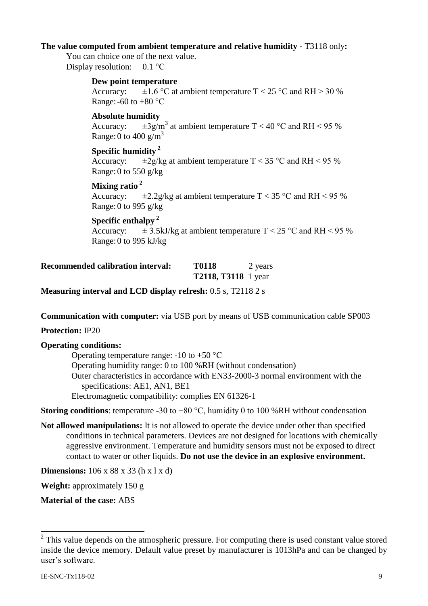#### **The value computed from ambient temperature and relative humidity** - T3118 only**:**

You can choice one of the next value. Display resolution: 0.1 °C

#### **Dew point temperature**

Accuracy:  $\pm 1.6$  °C at ambient temperature T < 25 °C and RH > 30 % Range: -60 to +80  $^{\circ}$ C

#### **Absolute humidity**

Accuracy:  $\pm 3$ g/m<sup>3</sup> at ambient temperature T < 40 °C and RH < 95 % Range: 0 to 400  $\text{g/m}^3$ 

#### <span id="page-8-0"></span>**Specific humidity <sup>2</sup>**

Accuracy:  $\pm 2g/kg$  at ambient temperature T < 35 °C and RH < 95 % Range: 0 to 550  $g/kg$ 

# **Mixing ratio**<sup>[2](#page-8-0)</sup><br>Accuracy:

 $\pm 2.2$ g/kg at ambient temperature T < 35 °C and RH < 95 % Range: 0 to 995 g/kg

#### **Specific enthalpy [2](#page-8-0)**

Accuracy:  $\pm$  3.5kJ/kg at ambient temperature T < 25 °C and RH < 95 % Range: 0 to 995 kJ/kg

| <b>Recommended calibration interval:</b> | <b>T0118</b>               | 2 years |
|------------------------------------------|----------------------------|---------|
|                                          | <b>T2118, T3118</b> 1 year |         |

**Measuring interval and LCD display refresh:** 0.5 s, T2118 2 s

**Communication with computer:** via USB port by means of USB communication cable SP003

**Protection:** IP20

#### **Operating conditions:**

Operating temperature range:  $-10$  to  $+50$  °C Operating humidity range: 0 to 100 %RH (without condensation) Outer characteristics in accordance with EN33-2000-3 normal environment with the specifications: AE1, AN1, BE1 Electromagnetic compatibility: complies EN 61326-1

**Storing conditions**: temperature -30 to +80 °C, humidity 0 to 100 %RH without condensation

**Not allowed manipulations:** It is not allowed to operate the device under other than specified conditions in technical parameters. Devices are not designed for locations with chemically aggressive environment. Temperature and humidity sensors must not be exposed to direct contact to water or other liquids. **Do not use the device in an explosive environment.**

**Dimensions:** 106 x 88 x 33 (h x l x d)

**Weight:** approximately 150 g

**Material of the case:** ABS

 $\overline{a}$ 

 $2$  This value depends on the atmospheric pressure. For computing there is used constant value stored inside the device memory. Default value preset by manufacturer is 1013hPa and can be changed by user's software.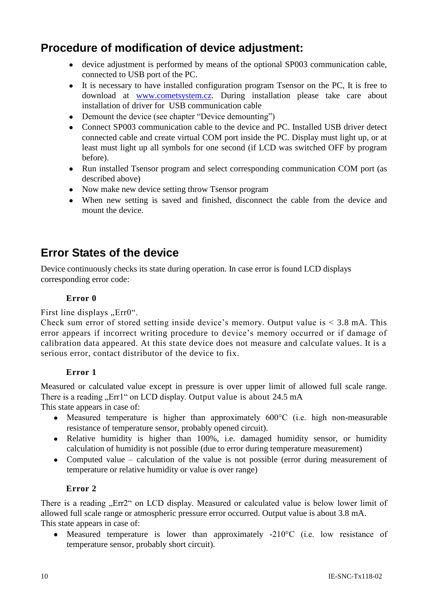# **Procedure of modification of device adjustment:**

- device adjustment is performed by means of the optional SP003 communication cable, connected to USB port of the PC.
- It is necessary to have installed configuration program Tsensor on the PC, It is free to download at [www.cometsystem.cz.](http://www.cometsystem.cz/) During installation please take care about installation of driver for USB communication cable
- Demount the device (see chapter "Device demounting")
- Connect SP003 communication cable to the device and PC. Installed USB driver detect connected cable and create virtual COM port inside the PC. Display must light up, or at least must light up all symbols for one second (if LCD was switched OFF by program before).
- Run installed Tsensor program and select corresponding communication COM port (as described above)
- Now make new device setting throw Tsensor program
- When new setting is saved and finished, disconnect the cable from the device and mount the device.

# **Error States of the device**

Device continuously checks its state during operation. In case error is found LCD displays corresponding error code:

#### **Error 0**

First line displays "Err0".

Check sum error of stored setting inside device's memory. Output value is  $\leq 3.8$  mA. This error appears if incorrect writing procedure to device's memory occurred or if damage of calibration data appeared. At this state device does not measure and calculate values. It is a serious error, contact distributor of the device to fix.

#### **Error 1**

Measured or calculated value except in pressure is over upper limit of allowed full scale range. There is a reading "Err1" on LCD display. Output value is about 24.5 mA

This state appears in case of:

- Measured temperature is higher than approximately 600°C (i.e. high non-measurable  $\bullet$ resistance of temperature sensor, probably opened circuit).
- Relative humidity is higher than 100%, i.e. damaged humidity sensor, or humidity calculation of humidity is not possible (due to error during temperature measurement)
- Computed value calculation of the value is not possible (error during measurement of temperature or relative humidity or value is over range)

#### **Error 2**

There is a reading "Err2" on LCD display. Measured or calculated value is below lower limit of allowed full scale range or atmospheric pressure error occurred. Output value is about 3.8 mA. This state appears in case of:

Measured temperature is lower than approximately -210°C (i.e. low resistance of temperature sensor, probably short circuit).